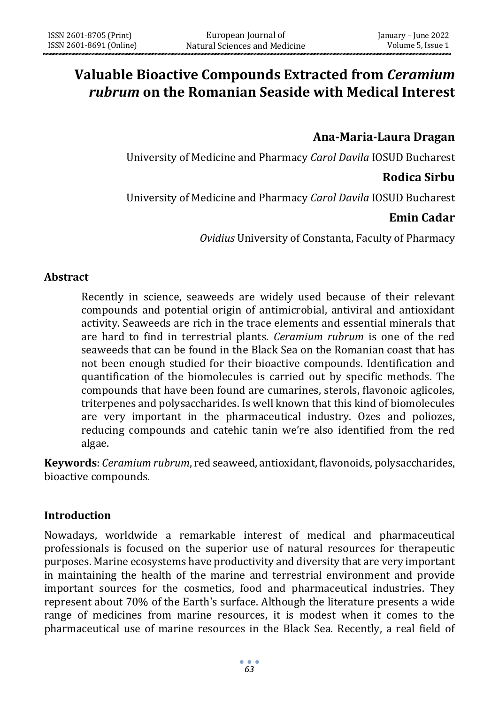# **Valuable Bioactive Compounds Extracted from** *Ceramium rubrum* **on the Romanian Seaside with Medical Interest**

# **Ana-Maria-Laura Dragan**

University of Medicine and Pharmacy *Carol Davila* IOSUD Bucharest

### **Rodica Sirbu**

University of Medicine and Pharmacy *Carol Davila* IOSUD Bucharest

### **Emin Cadar**

*Ovidius* University of Constanta, Faculty of Pharmacy

### **Abstract**

Recently in science, seaweeds are widely used because of their relevant compounds and potential origin of antimicrobial, antiviral and antioxidant activity. Seaweeds are rich in the trace elements and essential minerals that are hard to find in terrestrial plants. *Ceramium rubrum* is one of the red seaweeds that can be found in the Black Sea on the Romanian coast that has not been enough studied for their bioactive compounds. Identification and quantification of the biomolecules is carried out by specific methods. The compounds that have been found are cumarines, sterols, flavonoic aglicoles, triterpenes and polysaccharides. Is well known that this kind of biomolecules are very important in the pharmaceutical industry. Ozes and poliozes, reducing compounds and catehic tanin we're also identified from the red algae.

**Keywords**: *Ceramium rubrum*, red seaweed, antioxidant, flavonoids, polysaccharides, bioactive compounds.

### **Introduction**

Nowadays, worldwide a remarkable interest of medical and pharmaceutical professionals is focused on the superior use of natural resources for therapeutic purposes. Marine ecosystems have productivity and diversity that are very important in maintaining the health of the marine and terrestrial environment and provide important sources for the cosmetics, food and pharmaceutical industries. They represent about 70% of the Earth's surface. Although the literature presents a wide range of medicines from marine resources, it is modest when it comes to the pharmaceutical use of marine resources in the Black Sea. Recently, a real field of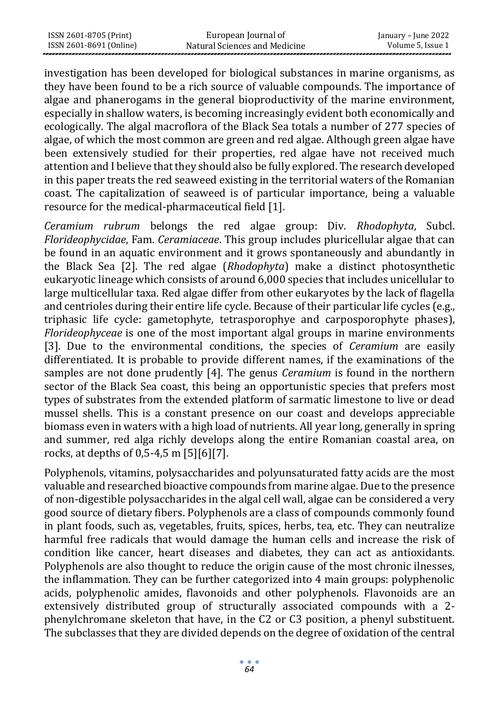| ISSN 2601-8705 (Print)  | European Journal of           | January – June 2022 |
|-------------------------|-------------------------------|---------------------|
| ISSN 2601-8691 (Online) | Natural Sciences and Medicine | Volume 5, Issue 1   |

investigation has been developed for biological substances in marine organisms, as they have been found to be a rich source of valuable compounds. The importance of algae and phanerogams in the general bioproductivity of the marine environment, especially in shallow waters, is becoming increasingly evident both economically and ecologically. The algal macroflora of the Black Sea totals a number of 277 species of algae, of which the most common are green and red algae. Although green algae have been extensively studied for their properties, red algae have not received much attention and I believe that they should also be fully explored. The research developed in this paper treats the red seaweed existing in the territorial waters of the Romanian coast. The capitalization of seaweed is of particular importance, being a valuable resource for the medical-pharmaceutical field [1].

*Ceramium rubrum* belongs the red algae group: Div. *Rhodophyta*, Subcl. *Florideophycidae*, Fam. *Ceramiaceae*. This group includes pluricellular algae that can be found in an aquatic environment and it grows spontaneously and abundantly in the Black Sea [2]. The red algae (*Rhodophyta*) make a distinct photosynthetic eukaryotic lineage which consists of around 6,000 species that includes unicellular to large multicellular taxa. Red algae differ from other eukaryotes by the lack of flagella and centrioles during their entire life cycle. Because of their particular life cycles (e.g., triphasic life cycle: gametophyte, tetrasporophye and carposporophyte phases), *Florideophyceae* is one of the most important algal groups in marine environments [3]. Due to the environmental conditions, the species of *Ceramium* are easily differentiated. It is probable to provide different names, if the examinations of the samples are not done prudently [4]. The genus *Ceramium* is found in the northern sector of the Black Sea coast, this being an opportunistic species that prefers most types of substrates from the extended platform of sarmatic limestone to live or dead mussel shells. This is a constant presence on our coast and develops appreciable biomass even in waters with a high load of nutrients. All year long, generally in spring and summer, red alga richly develops along the entire Romanian coastal area, on rocks, at depths of 0,5-4,5 m [5][6][7].

Polyphenols, vitamins, polysaccharides and polyunsaturated fatty acids are the most valuable and researched bioactive compounds from marine algae. Due to the presence of non-digestible polysaccharides in the algal cell wall, algae can be considered a very good source of dietary fibers. Polyphenols are a class of compounds commonly found in plant foods, such as, vegetables, fruits, spices, herbs, tea, etc. They can neutralize harmful free radicals that would damage the human cells and increase the risk of condition like cancer, heart diseases and diabetes, they can act as antioxidants. Polyphenols are also thought to reduce the origin cause of the most chronic ilnesses, the inflammation. They can be further categorized into 4 main groups: polyphenolic acids, polyphenolic amides, flavonoids and other polyphenols. Flavonoids are an extensively distributed group of structurally associated compounds with a 2 phenylchromane skeleton that have, in the C2 or C3 position, a phenyl substituent. The subclasses that they are divided depends on the degree of oxidation of the central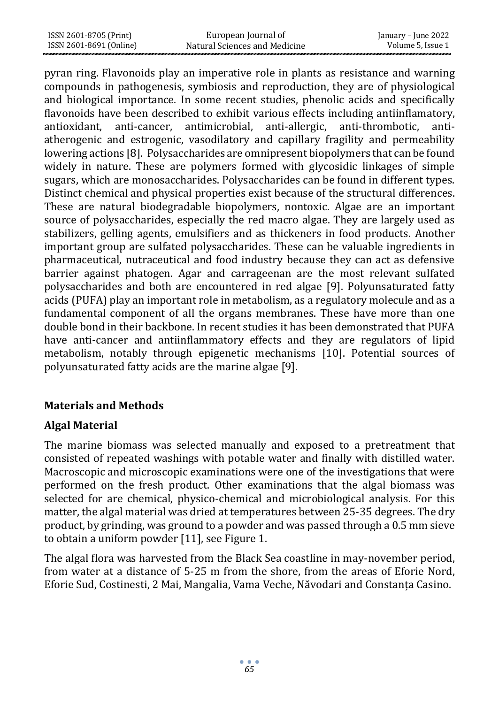| ISSN 2601-8705 (Print)  | European Journal of           | January – June 2022 |
|-------------------------|-------------------------------|---------------------|
| ISSN 2601-8691 (Online) | Natural Sciences and Medicine | Volume 5, Issue 1   |

pyran ring. Flavonoids play an imperative role in plants as resistance and warning compounds in pathogenesis, symbiosis and reproduction, they are of physiological and biological importance. In some recent studies, phenolic acids and specifically flavonoids have been described to exhibit various effects including antiinflamatory, antioxidant, anti-cancer, antimicrobial, anti-allergic, anti-thrombotic, antiatherogenic and estrogenic, vasodilatory and capillary fragility and permeability lowering actions [8]. Polysaccharides are omnipresent biopolymers that can be found widely in nature. These are polymers formed with glycosidic linkages of simple sugars, which are monosaccharides. Polysaccharides can be found in different types. Distinct chemical and physical properties exist because of the structural differences. These are natural biodegradable biopolymers, nontoxic. Algae are an important source of polysaccharides, especially the red macro algae. They are largely used as stabilizers, gelling agents, emulsifiers and as thickeners in food products. Another important group are sulfated polysaccharides. These can be valuable ingredients in pharmaceutical, nutraceutical and food industry because they can act as defensive barrier against phatogen. Agar and carrageenan are the most relevant sulfated polysaccharides and both are encountered in red algae [9]. Polyunsaturated fatty acids (PUFA) play an important role in metabolism, as a regulatory molecule and as a fundamental component of all the organs membranes. These have more than one double bond in their backbone. In recent studies it has been demonstrated that PUFA have anti-cancer and antiinflammatory effects and they are regulators of lipid metabolism, notably through epigenetic mechanisms [10]. Potential sources of polyunsaturated fatty acids are the marine algae [9].

### **Materials and Methods**

# **Algal Material**

The marine biomass was selected manually and exposed to a pretreatment that consisted of repeated washings with potable water and finally with distilled water. Macroscopic and microscopic examinations were one of the investigations that were performed on the fresh product. Other examinations that the algal biomass was selected for are chemical, physico-chemical and microbiological analysis. For this matter, the algal material was dried at temperatures between 25-35 degrees. The dry product, by grinding, was ground to a powder and was passed through a 0.5 mm sieve to obtain a uniform powder [11], see Figure 1.

The algal flora was harvested from the Black Sea coastline in may-november period, from water at a distance of 5-25 m from the shore, from the areas of Eforie Nord, Eforie Sud, Costinesti, 2 Mai, Mangalia, Vama Veche, Năvodari and Constanța Casino.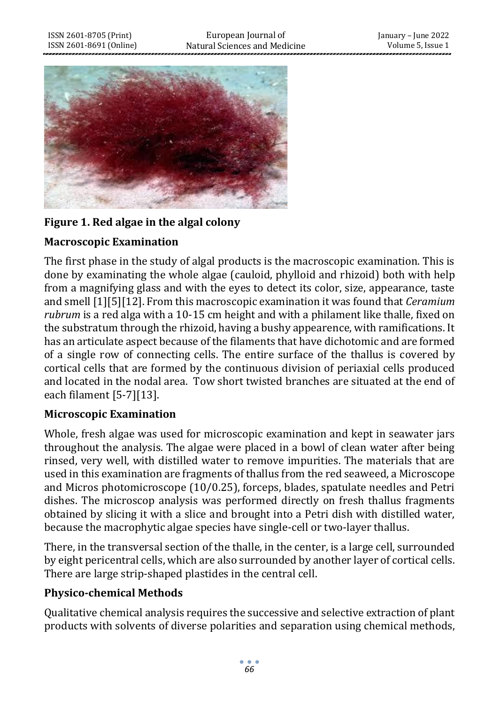

### **Figure 1. Red algae in the algal colony**

### **Macroscopic Examination**

The first phase in the study of algal products is the macroscopic examination. This is done by examinating the whole algae (cauloid, phylloid and rhizoid) both with help from a magnifying glass and with the eyes to detect its color, size, appearance, taste and smell [1][5][12]. From this macroscopic examination it was found that *Ceramium rubrum* is a red alga with a 10-15 cm height and with a philament like thalle, fixed on the substratum through the rhizoid, having a bushy appearence, with ramifications. It has an articulate aspect because of the filaments that have dichotomic and are formed of a single row of connecting cells. The entire surface of the thallus is covered by cortical cells that are formed by the continuous division of periaxial cells produced and located in the nodal area. Tow short twisted branches are situated at the end of each filament [5-7][13].

### **Microscopic Examination**

Whole, fresh algae was used for microscopic examination and kept in seawater jars throughout the analysis. The algae were placed in a bowl of clean water after being rinsed, very well, with distilled water to remove impurities. The materials that are used in this examination are fragments of thallus from the red seaweed, a Microscope and Micros photomicroscope (10/0.25), forceps, blades, spatulate needles and Petri dishes. The microscop analysis was performed directly on fresh thallus fragments obtained by slicing it with a slice and brought into a Petri dish with distilled water, because the macrophytic algae species have single-cell or two-layer thallus.

There, in the transversal section of the thalle, in the center, is a large cell, surrounded by eight pericentral cells, which are also surrounded by another layer of cortical cells. There are large strip-shaped plastides in the central cell.

### **Physico-chemical Methods**

Qualitative chemical analysis requires the successive and selective extraction of plant products with solvents of diverse polarities and separation using chemical methods,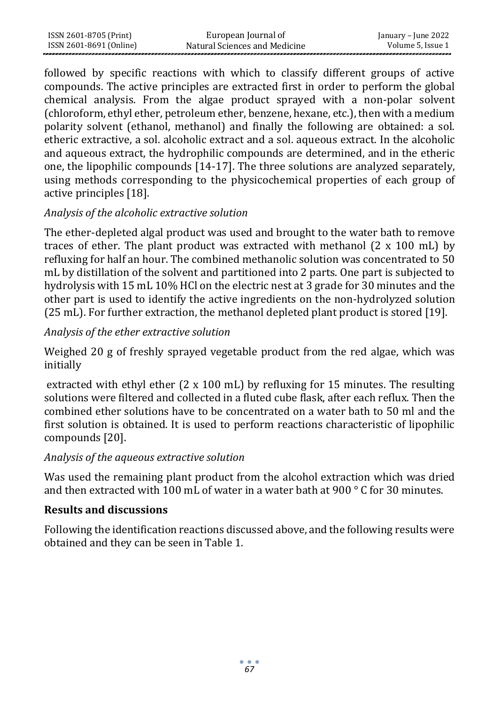| ISSN 2601-8705 (Print)  | European Journal of           | January – June 2022 |
|-------------------------|-------------------------------|---------------------|
| ISSN 2601-8691 (Online) | Natural Sciences and Medicine | Volume 5, Issue 1   |

followed by specific reactions with which to classify different groups of active compounds. The active principles are extracted first in order to perform the global chemical analysis. From the algae product sprayed with a non-polar solvent (chloroform, ethyl ether, petroleum ether, benzene, hexane, etc.), then with a medium polarity solvent (ethanol, methanol) and finally the following are obtained: a sol. etheric extractive, a sol. alcoholic extract and a sol. aqueous extract. In the alcoholic and aqueous extract, the hydrophilic compounds are determined, and in the etheric one, the lipophilic compounds [14-17]. The three solutions are analyzed separately, using methods corresponding to the physicochemical properties of each group of active principles [18].

### *Analysis of the alcoholic extractive solution*

The ether-depleted algal product was used and brought to the water bath to remove traces of ether. The plant product was extracted with methanol  $(2 \times 100 \text{ mL})$  by refluxing for half an hour. The combined methanolic solution was concentrated to 50 mL by distillation of the solvent and partitioned into 2 parts. One part is subjected to hydrolysis with 15 mL 10% HCl on the electric nest at 3 grade for 30 minutes and the other part is used to identify the active ingredients on the non-hydrolyzed solution (25 mL). For further extraction, the methanol depleted plant product is stored [19].

# *Analysis of the ether extractive solution*

Weighed 20 g of freshly sprayed vegetable product from the red algae, which was initially

extracted with ethyl ether (2 x 100 mL) by refluxing for 15 minutes. The resulting solutions were filtered and collected in a fluted cube flask, after each reflux. Then the combined ether solutions have to be concentrated on a water bath to 50 ml and the first solution is obtained. It is used to perform reactions characteristic of lipophilic compounds [20].

# *Analysis of the aqueous extractive solution*

Was used the remaining plant product from the alcohol extraction which was dried and then extracted with 100 mL of water in a water bath at 900  $\degree$  C for 30 minutes.

### **Results and discussions**

Following the identification reactions discussed above, and the following results were obtained and they can be seen in Table 1.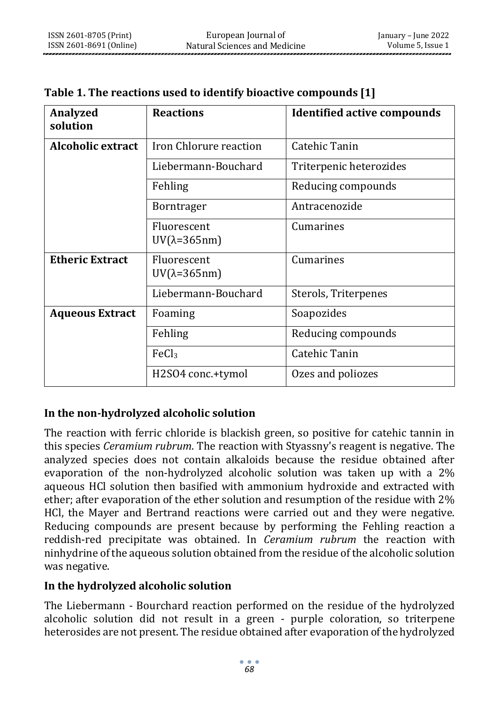| <b>Analyzed</b><br>solution | <b>Reactions</b>                          | <b>Identified active compounds</b> |
|-----------------------------|-------------------------------------------|------------------------------------|
| Alcoholic extract           | Iron Chlorure reaction                    | Catehic Tanin                      |
|                             | Liebermann-Bouchard                       | Triterpenic heterozides            |
|                             | Fehling                                   | Reducing compounds                 |
|                             | <b>Borntrager</b>                         | Antracenozide                      |
|                             | Fluorescent<br>$UV(\lambda=365nm)$        | Cumarines                          |
| <b>Etheric Extract</b>      | <b>Fluorescent</b><br>$UV(\lambda=365nm)$ | Cumarines                          |
|                             | Liebermann-Bouchard                       | Sterols, Triterpenes               |
| <b>Aqueous Extract</b>      | Foaming                                   | Soapozides                         |
|                             | Fehling                                   | Reducing compounds                 |
|                             | FeCl <sub>3</sub>                         | Catehic Tanin                      |
|                             | H2SO4 conc.+tymol                         | Ozes and poliozes                  |

**Table 1. The reactions used to identify bioactive compounds [1]**

# **In the non-hydrolyzed alcoholic solution**

The reaction with ferric chloride is blackish green, so positive for catehic tannin in this species *Ceramium rubrum*. The reaction with Styassny's reagent is negative. The analyzed species does not contain alkaloids because the residue obtained after evaporation of the non-hydrolyzed alcoholic solution was taken up with a 2% aqueous HCl solution then basified with ammonium hydroxide and extracted with ether; after evaporation of the ether solution and resumption of the residue with 2% HCl, the Mayer and Bertrand reactions were carried out and they were negative. Reducing compounds are present because by performing the Fehling reaction a reddish-red precipitate was obtained. In *Ceramium rubrum* the reaction with ninhydrine of the aqueous solution obtained from the residue of the alcoholic solution was negative.

### **In the hydrolyzed alcoholic solution**

The Liebermann - Bourchard reaction performed on the residue of the hydrolyzed alcoholic solution did not result in a green - purple coloration, so triterpene heterosides are not present. The residue obtained after evaporation of the hydrolyzed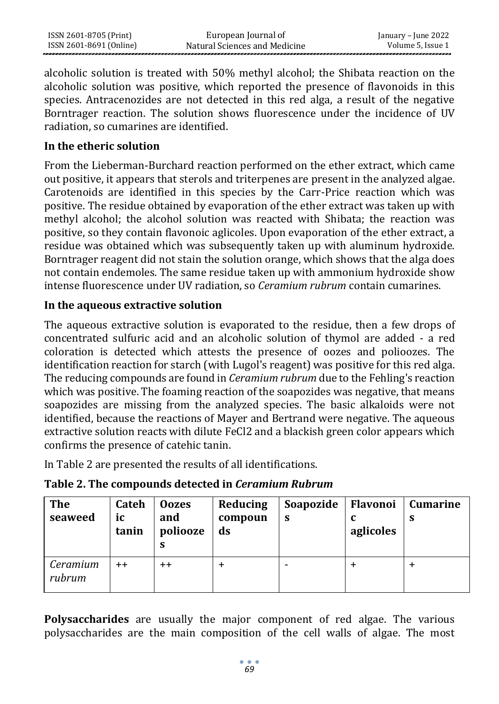alcoholic solution is treated with 50% methyl alcohol; the Shibata reaction on the alcoholic solution was positive, which reported the presence of flavonoids in this species. Antracenozides are not detected in this red alga, a result of the negative Borntrager reaction. The solution shows fluorescence under the incidence of UV radiation, so cumarines are identified.

### **In the etheric solution**

From the Lieberman-Burchard reaction performed on the ether extract, which came out positive, it appears that sterols and triterpenes are present in the analyzed algae. Carotenoids are identified in this species by the Carr-Price reaction which was positive. The residue obtained by evaporation of the ether extract was taken up with methyl alcohol; the alcohol solution was reacted with Shibata; the reaction was positive, so they contain flavonoic aglicoles. Upon evaporation of the ether extract, a residue was obtained which was subsequently taken up with aluminum hydroxide. Borntrager reagent did not stain the solution orange, which shows that the alga does not contain endemoles. The same residue taken up with ammonium hydroxide show intense fluorescence under UV radiation, so *Ceramium rubrum* contain cumarines.

### **In the aqueous extractive solution**

The aqueous extractive solution is evaporated to the residue, then a few drops of concentrated sulfuric acid and an alcoholic solution of thymol are added - a red coloration is detected which attests the presence of oozes and polioozes. The identification reaction for starch (with Lugol's reagent) was positive for this red alga. The reducing compounds are found in *Ceramium rubrum* due to the Fehling's reaction which was positive. The foaming reaction of the soapozides was negative, that means soapozides are missing from the analyzed species. The basic alkaloids were not identified, because the reactions of Mayer and Bertrand were negative. The aqueous extractive solution reacts with dilute FeCl2 and a blackish green color appears which confirms the presence of catehic tanin.

In Table 2 are presented the results of all identifications.

| <b>The</b><br>seaweed | <b>Cateh</b><br>iс<br>tanin | <b>Oozes</b><br>and<br>poliooze<br>S | Reducing<br>compoun<br>ds | Soapozide<br>-S | Flavonoi<br>aglicoles | <b>Cumarine</b><br>S |
|-----------------------|-----------------------------|--------------------------------------|---------------------------|-----------------|-----------------------|----------------------|
| Ceramium<br>rubrum    | $+ +$                       | $^{\mathrm{+}}$                      |                           |                 |                       |                      |

| Table 2. The compounds detected in Ceramium Rubrum |  |  |  |  |  |  |
|----------------------------------------------------|--|--|--|--|--|--|
|----------------------------------------------------|--|--|--|--|--|--|

**Polysaccharides** are usually the major component of red algae. The various polysaccharides are the main composition of the cell walls of algae. The most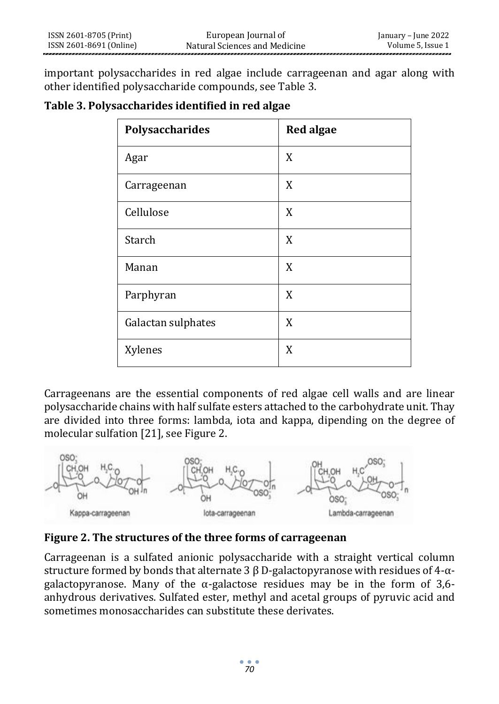important polysaccharides in red algae include carrageenan and agar along with other identified polysaccharide compounds, see Table 3.

#### **Table 3. Polysaccharides identified in red algae**

| Polysaccharides    | <b>Red algae</b> |
|--------------------|------------------|
| Agar               | X                |
| Carrageenan        | X                |
| Cellulose          | X                |
| Starch             | X                |
| Manan              | X                |
| Parphyran          | X                |
| Galactan sulphates | X                |
| Xylenes            | X                |

Carrageenans are the essential components of red algae cell walls and are linear polysaccharide chains with half sulfate esters attached to the carbohydrate unit. Thay are divided into three forms: lambda, iota and kappa, dipending on the degree of molecular sulfation [21], see Figure 2.



### **Figure 2. The structures of the three forms of carrageenan**

Carrageenan is a sulfated anionic polysaccharide with a straight vertical column structure formed by bonds that alternate 3  $\beta$  D-galactopyranose with residues of 4- $\alpha$ galactopyranose. Many of the  $\alpha$ -galactose residues may be in the form of 3,6anhydrous derivatives. Sulfated ester, methyl and acetal groups of pyruvic acid and sometimes monosaccharides can substitute these derivates.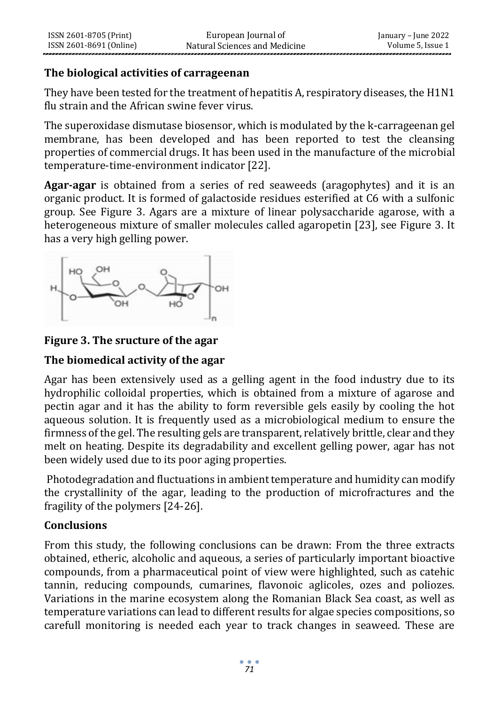# **The biological activities of carrageenan**

They have been tested for the treatment of hepatitis A, respiratory diseases, the H1N1 flu strain and the African swine fever virus.

The superoxidase dismutase biosensor, which is modulated by the k-carrageenan gel membrane, has been developed and has been reported to test the cleansing properties of commercial drugs. It has been used in the manufacture of the microbial temperature-time-environment indicator [22].

**Agar-agar** is obtained from a series of red seaweeds (aragophytes) and it is an organic product. It is formed of galactoside residues esterified at C6 with a sulfonic group. See Figure 3. Agars are a mixture of linear polysaccharide agarose, with a heterogeneous mixture of smaller molecules called agaropetin [23], see Figure 3. It has a very high gelling power.



### **Figure 3. The sructure of the agar**

### **The biomedical activity of the agar**

Agar has been extensively used as a gelling agent in the food industry due to its hydrophilic colloidal properties, which is obtained from a mixture of agarose and pectin agar and it has the ability to form reversible gels easily by cooling the hot aqueous solution. It is frequently used as a microbiological medium to ensure the firmness of the gel. The resulting gels are transparent, relatively brittle, clear and they melt on heating. Despite its degradability and excellent gelling power, agar has not been widely used due to its poor aging properties.

Photodegradation and fluctuations in ambient temperature and humidity can modify the crystallinity of the agar, leading to the production of microfractures and the fragility of the polymers [24-26].

# **Conclusions**

From this study, the following conclusions can be drawn: From the three extracts obtained, etheric, alcoholic and aqueous, a series of particularly important bioactive compounds, from a pharmaceutical point of view were highlighted, such as catehic tannin, reducing compounds, cumarines, flavonoic aglicoles, ozes and poliozes. Variations in the marine ecosystem along the Romanian Black Sea coast, as well as temperature variations can lead to different results for algae species compositions, so carefull monitoring is needed each year to track changes in seaweed. These are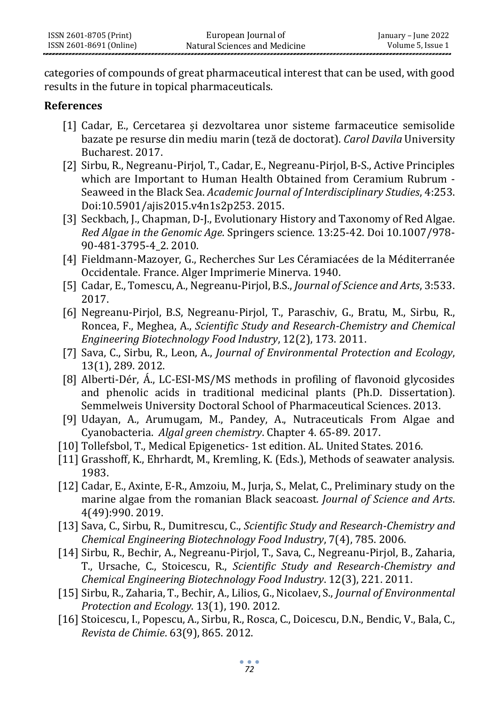categories of compounds of great pharmaceutical interest that can be used, with good results in the future in topical pharmaceuticals.

#### **References**

- [1] Cadar, E., Cercetarea și dezvoltarea unor sisteme farmaceutice semisolide bazate pe resurse din mediu marin (teză de doctorat). *Carol Davila* University Bucharest. 2017.
- [2] Sirbu, R., Negreanu-Pirjol, T., Cadar, E., Negreanu-Pirjol, B-S., Active Principles which are Important to Human Health Obtained from Ceramium Rubrum - Seaweed in the Black Sea. *Academic Journal of Interdisciplinary Studies*, 4:253. Doi:10.5901/ajis2015.v4n1s2p253. 2015.
- [3] Seckbach, J., Chapman, D-J., Evolutionary History and Taxonomy of Red Algae. *Red Algae in the Genomic Age*. Springers science. 13:25-42. Doi 10.1007/978- 90-481-3795-4\_2. 2010.
- [4] Fieldmann-Mazoyer, G., Recherches Sur Les Céramiacées de la Méditerranée Occidentale. France. Alger Imprimerie Minerva. 1940.
- [5] Cadar, E., Tomescu, A., Negreanu-Pirjol, B.S., *Journal of Science and Arts*, 3:533. 2017.
- [6] Negreanu-Pirjol, B.S, Negreanu-Pirjol, T., Paraschiv, G., Bratu, M., Sirbu, R., Roncea, F., Meghea, A., *Scientific Study and Research-Chemistry and Chemical Engineering Biotechnology Food Industry*, 12(2), 173. 2011.
- [7] Sava, C., Sirbu, R., Leon, A., *Journal of Environmental Protection and Ecology*, 13(1), 289. 2012.
- [8] Alberti-Dér, Á., LC-ESI-MS/MS methods in profiling of flavonoid glycosides and phenolic acids in traditional medicinal plants (Ph.D. Dissertation). Semmelweis University Doctoral School of Pharmaceutical Sciences. 2013.
- [9] Udayan, A., Arumugam, M., Pandey, A., Nutraceuticals From Algae and Cyanobacteria. *Algal green chemistry*. Chapter 4. 65-89. 2017.
- [10] Tollefsbol, T., Medical Epigenetics- 1st edition. AL. United States. 2016.
- [11] Grasshoff, K., Ehrhardt, M., Kremling, K. (Eds.), Methods of seawater analysis. 1983.
- [12] Cadar, E., Axinte, E-R., Amzoiu, M., Jurja, S., Melat, C., Preliminary study on the marine algae from the romanian Black seacoast*. Journal of Science and Arts*. 4(49):990. 2019.
- [13] Sava, C., Sirbu, R., Dumitrescu, C., *Scientific Study and Research-Chemistry and Chemical Engineering Biotechnology Food Industry*, 7(4), 785. 2006.
- [14] Sirbu, R., Bechir, A., Negreanu-Pirjol, T., Sava, C., Negreanu-Pirjol, B., Zaharia, T., Ursache, C., Stoicescu, R., *Scientific Study and Research-Chemistry and Chemical Engineering Biotechnology Food Industry*. 12(3), 221. 2011.
- [15] Sirbu, R., Zaharia, T., Bechir, A., Lilios, G., Nicolaev, S., *Journal of Environmental Protection and Ecology*. 13(1), 190. 2012.
- [16] Stoicescu, I., Popescu, A., Sirbu, R., Rosca, C., Doicescu, D.N., Bendic, V., Bala, C., *Revista de Chimie*. 63(9), 865. 2012.